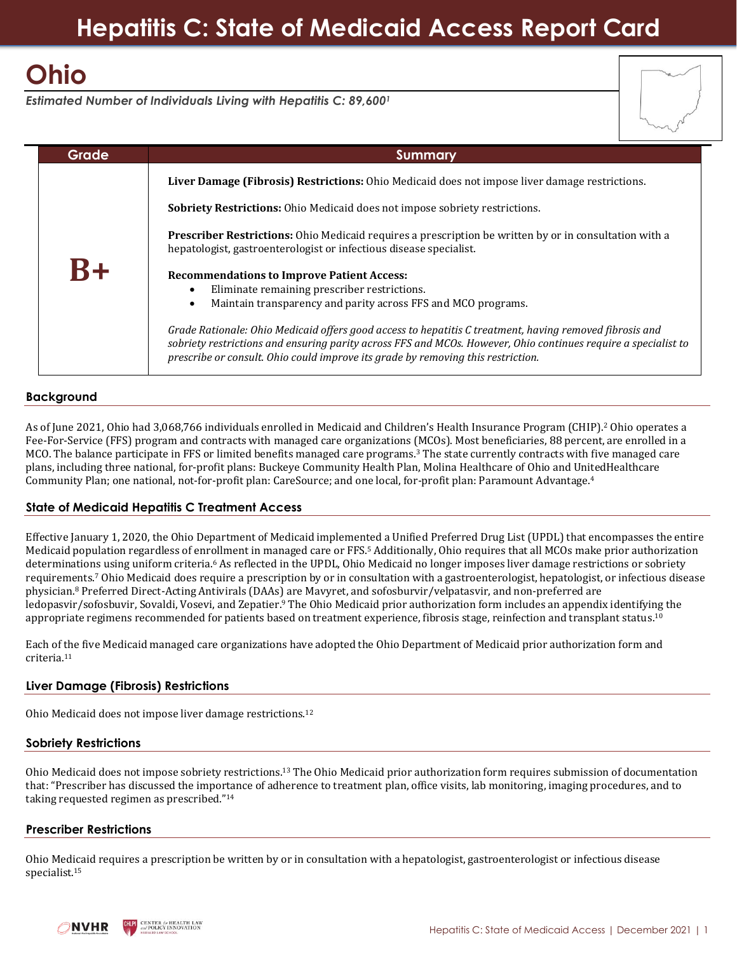## **Hepatitis C: State of Medicaid Access Report Card**

# **Ohio**

*Estimated Number of Individuals Living with Hepatitis C: 89,600<sup>1</sup>*

| Grade | <b>Summary</b>                                                                                                                                                                                                                                                                                                |  |
|-------|---------------------------------------------------------------------------------------------------------------------------------------------------------------------------------------------------------------------------------------------------------------------------------------------------------------|--|
|       | Liver Damage (Fibrosis) Restrictions: Ohio Medicaid does not impose liver damage restrictions.                                                                                                                                                                                                                |  |
|       | <b>Sobriety Restrictions:</b> Ohio Medicaid does not impose sobriety restrictions.                                                                                                                                                                                                                            |  |
|       | Prescriber Restrictions: Ohio Medicaid requires a prescription be written by or in consultation with a<br>hepatologist, gastroenterologist or infectious disease specialist.                                                                                                                                  |  |
| $R+$  | <b>Recommendations to Improve Patient Access:</b>                                                                                                                                                                                                                                                             |  |
|       | Eliminate remaining prescriber restrictions.                                                                                                                                                                                                                                                                  |  |
|       | Maintain transparency and parity across FFS and MCO programs.<br>٠                                                                                                                                                                                                                                            |  |
|       | Grade Rationale: Ohio Medicaid offers good access to hepatitis C treatment, having removed fibrosis and<br>sobriety restrictions and ensuring parity across FFS and MCOs. However, Ohio continues require a specialist to<br>prescribe or consult. Ohio could improve its grade by removing this restriction. |  |

## **Background**

As of June 2021, Ohio had 3,068,766 individuals enrolled in Medicaid and Children's Health Insurance Program (CHIP). <sup>2</sup> Ohio operates a Fee-For-Service (FFS) program and contracts with managed care organizations (MCOs). Most beneficiaries, 88 percent, are enrolled in a MCO. The balance participate in FFS or limited benefits managed care programs. <sup>3</sup> The state currently contracts with five managed care plans, including three national, for-profit plans: Buckeye Community Health Plan, Molina Healthcare of Ohio and UnitedHealthcare Community Plan; one national, not-for-profit plan: CareSource; and one local, for-profit plan: Paramount Advantage.<sup>4</sup>

## **State of Medicaid Hepatitis C Treatment Access**

Effective January 1, 2020, the Ohio Department of Medicaid implemented a Unified Preferred Drug List (UPDL) that encompasses the entire Medicaid population regardless of enrollment in managed care or FFS. <sup>5</sup> Additionally, Ohio requires that all MCOs make prior authorization determinations using uniform criteria.<sup>6</sup> As reflected in the UPDL, Ohio Medicaid no longer imposes liver damage restrictions or sobriety requirements. <sup>7</sup> Ohio Medicaid does require a prescription by or in consultation with a gastroenterologist, hepatologist, or infectious disease physician. <sup>8</sup> Preferred Direct-Acting Antivirals (DAAs) are Mavyret, and sofosburvir/velpatasvir, and non-preferred are ledopasvir/sofosbuvir, Sovaldi, Vosevi, and Zepatier. <sup>9</sup> The Ohio Medicaid prior authorization form includes an appendix identifying the appropriate regimens recommended for patients based on treatment experience, fibrosis stage, reinfection and transplant status.<sup>10</sup>

Each of the five Medicaid managed care organizations have adopted the Ohio Department of Medicaid prior authorization form and criteria.<sup>11</sup>

## **Liver Damage (Fibrosis) Restrictions**

Ohio Medicaid does not impose liver damage restrictions.<sup>12</sup>

#### **Sobriety Restrictions**

Ohio Medicaid does not impose sobriety restrictions.<sup>13</sup> The Ohio Medicaid prior authorization form requires submission of documentation that: "Prescriber has discussed the importance of adherence to treatment plan, office visits, lab monitoring, imaging procedures, and to taking requested regimen as prescribed."<sup>14</sup>

#### **Prescriber Restrictions**

Ohio Medicaid requires a prescription be written by or in consultation with a hepatologist, gastroenterologist or infectious disease specialist. 15